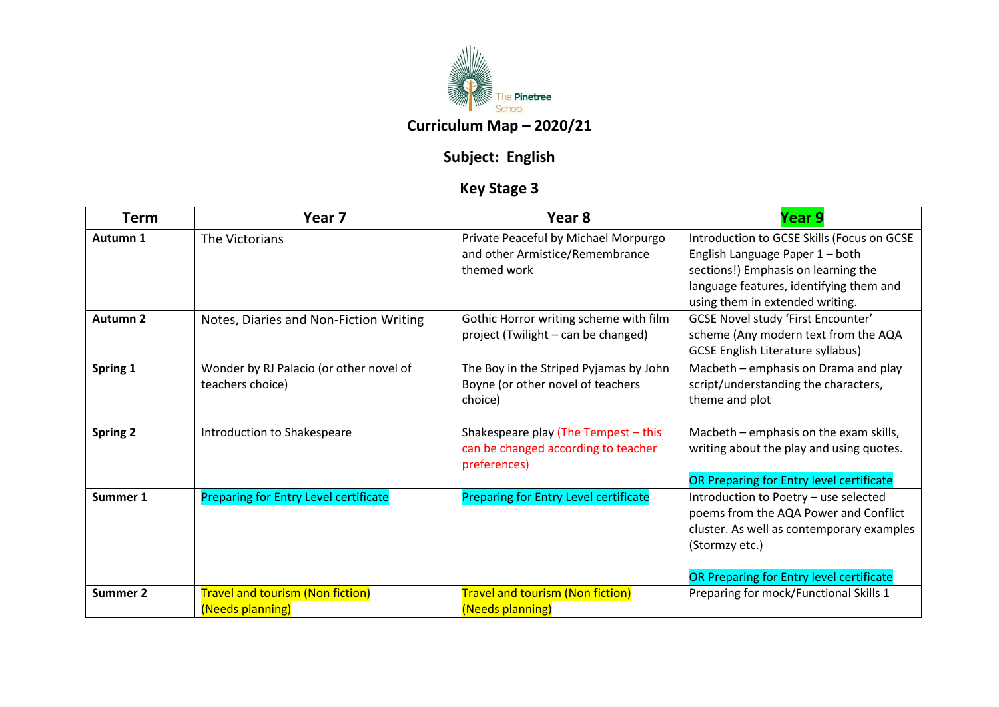

## **Subject: English**

## **Key Stage 3**

| <b>Term</b>         | Year 7                                                      | Year 8                                                                                      | Year 9                                                                                                                                                                                             |
|---------------------|-------------------------------------------------------------|---------------------------------------------------------------------------------------------|----------------------------------------------------------------------------------------------------------------------------------------------------------------------------------------------------|
| Autumn 1            | The Victorians                                              | Private Peaceful by Michael Morpurgo<br>and other Armistice/Remembrance<br>themed work      | Introduction to GCSE Skills (Focus on GCSE<br>English Language Paper 1 - both<br>sections!) Emphasis on learning the<br>language features, identifying them and<br>using them in extended writing. |
| Autumn <sub>2</sub> | Notes, Diaries and Non-Fiction Writing                      | Gothic Horror writing scheme with film<br>project (Twilight - can be changed)               | GCSE Novel study 'First Encounter'<br>scheme (Any modern text from the AQA<br><b>GCSE English Literature syllabus)</b>                                                                             |
| Spring 1            | Wonder by RJ Palacio (or other novel of<br>teachers choice) | The Boy in the Striped Pyjamas by John<br>Boyne (or other novel of teachers<br>choice)      | Macbeth - emphasis on Drama and play<br>script/understanding the characters,<br>theme and plot                                                                                                     |
| <b>Spring 2</b>     | Introduction to Shakespeare                                 | Shakespeare play (The Tempest - this<br>can be changed according to teacher<br>preferences) | Macbeth - emphasis on the exam skills,<br>writing about the play and using quotes.<br>OR Preparing for Entry level certificate                                                                     |
| Summer 1            | <b>Preparing for Entry Level certificate</b>                | <b>Preparing for Entry Level certificate</b>                                                | Introduction to Poetry - use selected<br>poems from the AQA Power and Conflict<br>cluster. As well as contemporary examples<br>(Stormzy etc.)<br>OR Preparing for Entry level certificate          |
| Summer 2            | <b>Travel and tourism (Non fiction)</b><br>(Needs planning) | <b>Travel and tourism (Non fiction)</b><br>(Needs planning)                                 | Preparing for mock/Functional Skills 1                                                                                                                                                             |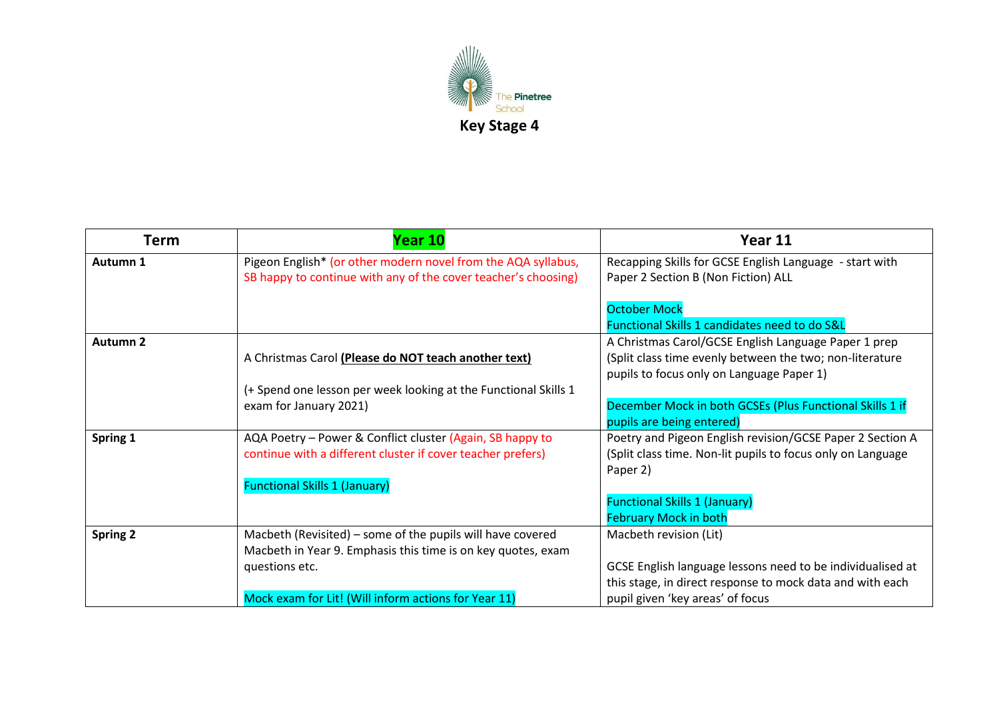

| Term            | Year 10                                                                                                                                      | Year 11                                                                                                                                                       |
|-----------------|----------------------------------------------------------------------------------------------------------------------------------------------|---------------------------------------------------------------------------------------------------------------------------------------------------------------|
| Autumn 1        | Pigeon English* (or other modern novel from the AQA syllabus,<br>SB happy to continue with any of the cover teacher's choosing)              | Recapping Skills for GCSE English Language - start with<br>Paper 2 Section B (Non Fiction) ALL                                                                |
|                 |                                                                                                                                              | <b>October Mock</b><br>Functional Skills 1 candidates need to do S&L                                                                                          |
| <b>Autumn 2</b> | A Christmas Carol (Please do NOT teach another text)                                                                                         | A Christmas Carol/GCSE English Language Paper 1 prep<br>(Split class time evenly between the two; non-literature<br>pupils to focus only on Language Paper 1) |
|                 | (+ Spend one lesson per week looking at the Functional Skills 1<br>exam for January 2021)                                                    | December Mock in both GCSEs (Plus Functional Skills 1 if<br>pupils are being entered)                                                                         |
| Spring 1        | AQA Poetry - Power & Conflict cluster (Again, SB happy to<br>continue with a different cluster if cover teacher prefers)                     | Poetry and Pigeon English revision/GCSE Paper 2 Section A<br>(Split class time. Non-lit pupils to focus only on Language<br>Paper 2)                          |
|                 | <b>Functional Skills 1 (January)</b>                                                                                                         | <b>Functional Skills 1 (January)</b><br><b>February Mock in both</b>                                                                                          |
| <b>Spring 2</b> | Macbeth (Revisited) – some of the pupils will have covered<br>Macbeth in Year 9. Emphasis this time is on key quotes, exam<br>questions etc. | Macbeth revision (Lit)<br>GCSE English language lessons need to be individualised at                                                                          |
|                 | Mock exam for Lit! (Will inform actions for Year 11)                                                                                         | this stage, in direct response to mock data and with each<br>pupil given 'key areas' of focus                                                                 |